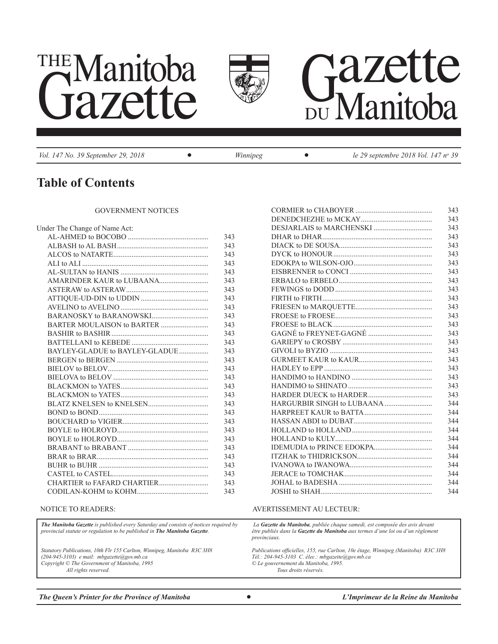## **Manitoba** THE Manitoba <del>Ga</del>zette<br>Gazette <sup>Gazette</sup>



# azette DU

*Vol. 147 No. 39 September 29, 2018* ● *Winnipeg* ● *Winnipeg* 

le 29 septembre 2018 Vol. 147 nº 39

### **Table of Contents**

#### GOVERNMENT NOTICES

| Under The Change of Name Act:  |     |
|--------------------------------|-----|
|                                | 343 |
|                                | 343 |
|                                | 343 |
|                                | 343 |
|                                | 343 |
| AMARINDER KAUR to LUBAANA      | 343 |
|                                | 343 |
|                                | 343 |
|                                | 343 |
|                                | 343 |
|                                | 343 |
|                                | 343 |
| BATTELLANI to KEBEDE           | 343 |
| BAYLEY-GLADUE to BAYLEY-GLADUE | 343 |
|                                | 343 |
|                                | 343 |
|                                | 343 |
|                                | 343 |
|                                | 343 |
|                                | 343 |
|                                | 343 |
|                                | 343 |
|                                | 343 |
|                                | 343 |
|                                | 343 |
|                                | 343 |
|                                | 343 |
| CASTEL to CASTEL               | 343 |
|                                | 343 |
|                                | 343 |
|                                |     |

*The Manitoba Gazette is published every Saturday and consists of notices required by provincial statute or regulation to be published in The Manitoba Gazette.*

*Statutory Publications, 10th Flr 155 Carlton, Winnipeg, Manitoba R3C 3H8 (204-945-3103) e mail: mbgazette@gov.mb.ca Copyright © The Government of Manitoba, 1995 All rights reserved.*

|                            | 343 |
|----------------------------|-----|
|                            | 343 |
|                            | 343 |
|                            | 343 |
|                            | 343 |
|                            | 343 |
|                            | 343 |
|                            | 343 |
|                            | 343 |
|                            | 343 |
|                            | 343 |
|                            | 343 |
|                            | 343 |
|                            | 343 |
|                            | 343 |
|                            | 343 |
|                            | 343 |
|                            | 343 |
|                            | 343 |
|                            | 343 |
|                            | 343 |
|                            | 343 |
| HARGURBIR SINGH to LUBAANA | 344 |
|                            | 344 |
|                            | 344 |
|                            | 344 |
|                            | 344 |
|                            | 344 |
|                            | 344 |
|                            | 344 |
|                            | 344 |
|                            | 344 |
|                            | 344 |

#### NOTICE TO READERS: AVERTISSEMENT AU LECTEUR:

*La Gazette du Manitoba, publiée chaque samedi, est composée des avis devant être publiés dans la Gazette du Manitoba aux termes d'une loi ou d'un règlement provinciaux.*

*Publications officielles, 155, rue Carlton, 10e étage, Winnipeg (Manitoba) R3C 3H8 Tél.: 204-945-3103 C. élec.: mbgazette@gov.mb.ca © Le gouvernement du Manitoba, 1995.*

*Tous droits réservés.*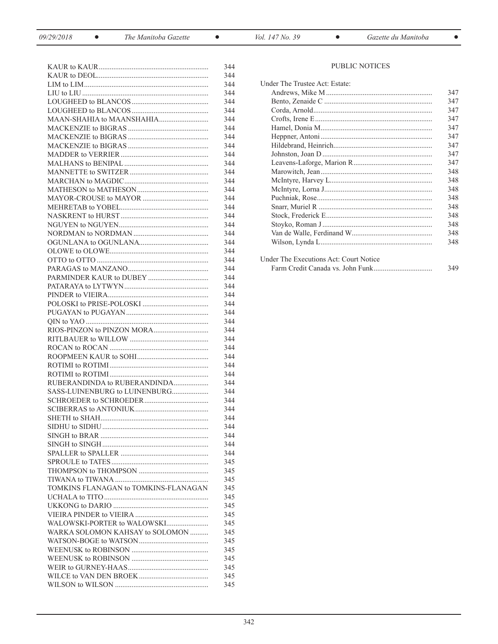$\bullet$ 

Vol. 147 No. 39

 $\bullet$ 

#### PUBLIC NOTICES

 $\bullet$ 

| Under The Trustee Act: Estate:         |     |
|----------------------------------------|-----|
|                                        | 347 |
|                                        | 347 |
|                                        | 347 |
|                                        | 347 |
|                                        | 347 |
|                                        | 347 |
|                                        | 347 |
|                                        | 347 |
|                                        | 347 |
|                                        | 348 |
|                                        | 348 |
|                                        | 348 |
|                                        | 348 |
|                                        | 348 |
|                                        | 348 |
|                                        | 348 |
|                                        | 348 |
|                                        | 348 |
| Under The Executions Act: Court Notice |     |
|                                        | 349 |

|                                      | 344 |
|--------------------------------------|-----|
|                                      |     |
|                                      | 344 |
|                                      | 344 |
|                                      | 344 |
|                                      |     |
|                                      | 344 |
|                                      | 344 |
| MAAN-SHAHIA to MAANSHAHIA            | 344 |
|                                      | 344 |
|                                      |     |
|                                      | 344 |
|                                      | 344 |
|                                      | 344 |
|                                      | 344 |
|                                      |     |
|                                      | 344 |
|                                      | 344 |
|                                      | 344 |
|                                      | 344 |
|                                      |     |
|                                      | 344 |
|                                      | 344 |
|                                      | 344 |
|                                      | 344 |
|                                      |     |
|                                      | 344 |
|                                      | 344 |
|                                      | 344 |
|                                      |     |
|                                      | 344 |
|                                      | 344 |
|                                      | 344 |
|                                      | 344 |
|                                      |     |
|                                      | 344 |
|                                      | 344 |
|                                      | 344 |
|                                      | 344 |
|                                      |     |
|                                      | 344 |
|                                      | 344 |
|                                      | 344 |
|                                      | 344 |
|                                      |     |
|                                      | 344 |
| RUBERANDINDA to RUBERANDINDA         | 344 |
| SASS-LUINENBURG to LUINENBURG        | 344 |
|                                      | 344 |
|                                      |     |
|                                      | 344 |
|                                      | 344 |
|                                      | 344 |
|                                      | 344 |
|                                      |     |
|                                      | 344 |
|                                      | 344 |
|                                      | 345 |
|                                      | 345 |
|                                      |     |
|                                      | 345 |
| TOMKINS FLANAGAN to TOMKINS-FLANAGAN | 345 |
|                                      | 345 |
|                                      | 345 |
|                                      |     |
|                                      | 345 |
| WALOWSKI-PORTER to WALOWSKI          | 345 |
| WARKA SOLOMON KAHSAY to SOLOMON      | 345 |
|                                      | 345 |
|                                      |     |
|                                      | 345 |
|                                      | 345 |
|                                      | 345 |
|                                      | 345 |
|                                      |     |
|                                      | 345 |
|                                      |     |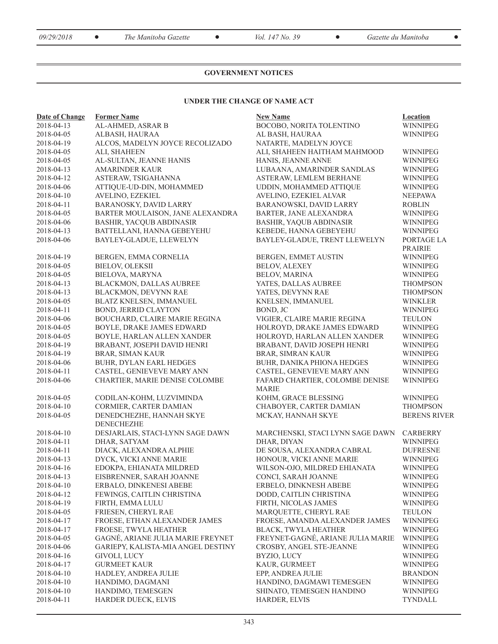| 09/29/2018 | The Manitoba Gazette |  | <i>Vol.</i> 147 No. 39 |  | Gazette du Manitoba |  |
|------------|----------------------|--|------------------------|--|---------------------|--|
|------------|----------------------|--|------------------------|--|---------------------|--|

#### **GOVERNMENT NOTICES**

#### **UNDER THE CHANGE OF NAME ACT**

| <b>Date of Change</b> | <b>Former Name</b>                                 | <b>New Name</b>                                          | <b>Location</b>                    |
|-----------------------|----------------------------------------------------|----------------------------------------------------------|------------------------------------|
| 2018-04-13            | AL-AHMED, ASRAR B                                  | BOCOBO, NORITA TOLENTINO                                 | <b>WINNIPEG</b>                    |
| 2018-04-05            | ALBASH, HAURAA                                     | AL BASH, HAURAA                                          | <b>WINNIPEG</b>                    |
| 2018-04-19            | ALCOS, MADELYN JOYCE RECOLIZADO                    | NATARTE, MADELYN JOYCE                                   |                                    |
| 2018-04-05            | ALI, SHAHEEN                                       | ALI, SHAHEEN HAITHAM MAHMOOD                             | <b>WINNIPEG</b>                    |
| 2018-04-05            | AL-SULTAN, JEANNE HANIS                            | HANIS, JEANNE ANNE                                       | <b>WINNIPEG</b>                    |
| 2018-04-13            | <b>AMARINDER KAUR</b>                              | LUBAANA, AMARINDER SANDLAS                               | <b>WINNIPEG</b>                    |
| 2018-04-12            | ASTERAW, TSIGAHANNA                                | ASTERAW, LEMLEM BERHANE                                  | <b>WINNIPEG</b>                    |
| 2018-04-06            | ATTIQUE-UD-DIN, MOHAMMED                           | UDDIN, MOHAMMED ATTIQUE                                  | <b>WINNIPEG</b>                    |
| 2018-04-10            | AVELINO, EZEKIEL                                   | AVELINO, EZEKIEL ALVAR                                   | <b>NEEPAWA</b>                     |
| 2018-04-11            | BARANOSKY, DAVID LARRY                             | BARANOWSKI, DAVID LARRY                                  | <b>ROBLIN</b>                      |
| 2018-04-05            | BARTER MOULAISON, JANE ALEXANDRA                   | BARTER, JANE ALEXANDRA                                   | <b>WINNIPEG</b>                    |
| 2018-04-06            | <b>BASHIR, YACQUB ABDINASIR</b>                    | BASHIR, YAQUB ABDINASIR                                  | <b>WINNIPEG</b>                    |
| 2018-04-13            | BATTELLANI, HANNA GEBEYEHU                         | KEBEDE, HANNA GEBEYEHU                                   | <b>WINNIPEG</b>                    |
| 2018-04-06            | BAYLEY-GLADUE, LLEWELYN                            | BAYLEY-GLADUE, TRENT LLEWELYN                            | PORTAGE LA                         |
|                       |                                                    |                                                          | <b>PRAIRIE</b>                     |
| 2018-04-19            | BERGEN, EMMA CORNELIA                              | BERGEN, EMMET AUSTIN                                     | <b>WINNIPEG</b>                    |
| 2018-04-05            | <b>BIELOV, OLEKSII</b>                             | <b>BELOV, ALEXEY</b>                                     | <b>WINNIPEG</b>                    |
| 2018-04-05            | BIELOVA, MARYNA                                    | <b>BELOV, MARINA</b>                                     | <b>WINNIPEG</b>                    |
| 2018-04-13            | BLACKMON, DALLAS AUBREE                            | YATES, DALLAS AUBREE                                     | <b>THOMPSON</b>                    |
| 2018-04-13            | BLACKMON, DEVYNN RAE                               | YATES, DEVYNN RAE                                        | <b>THOMPSON</b>                    |
| 2018-04-05            | BLATZ KNELSEN, IMMANUEL                            | KNELSEN, IMMANUEL                                        | <b>WINKLER</b>                     |
| 2018-04-11            | <b>BOND, JERRID CLAYTON</b>                        | BOND, JC                                                 | <b>WINNIPEG</b>                    |
| 2018-04-06            | BOUCHARD, CLAIRE MARIE REGINA                      | VIGIER, CLAIRE MARIE REGINA                              | <b>TEULON</b>                      |
| 2018-04-05            | BOYLE, DRAKE JAMES EDWARD                          | HOLROYD, DRAKE JAMES EDWARD                              | <b>WINNIPEG</b>                    |
| 2018-04-05            | BOYLE, HARLAN ALLEN XANDER                         | HOLROYD, HARLAN ALLEN XANDER                             | <b>WINNIPEG</b>                    |
| 2018-04-19            | BRABANT, JOSEPH DAVID HENRI                        | BRABANT, DAVID JOSEPH HENRI                              | <b>WINNIPEG</b>                    |
| 2018-04-19            | <b>BRAR, SIMAN KAUR</b>                            | BRAR, SIMRAN KAUR                                        | <b>WINNIPEG</b>                    |
| 2018-04-06            | <b>BUHR, DYLAN EARL HEDGES</b>                     |                                                          | <b>WINNIPEG</b>                    |
| 2018-04-11            | CASTEL, GENIEVEVE MARY ANN                         | BUHR, DANIKA PHIONA HEDGES<br>CASTEL, GENEVIEVE MARY ANN | <b>WINNIPEG</b>                    |
|                       |                                                    |                                                          |                                    |
| 2018-04-06            | CHARTIER, MARIE DENISE COLOMBE                     | FAFARD CHARTIER, COLOMBE DENISE<br><b>MARIE</b>          | <b>WINNIPEG</b>                    |
| 2018-04-05            |                                                    |                                                          |                                    |
| 2018-04-10            | CODILAN-KOHM, LUZVIMINDA<br>CORMIER, CARTER DAMIAN | KOHM, GRACE BLESSING<br>CHABOYER, CARTER DAMIAN          | <b>WINNIPEG</b><br><b>THOMPSON</b> |
| 2018-04-05            | DENEDCHEZHE, HANNAH SKYE                           | MCKAY, HANNAH SKYE                                       | <b>BERENS RIVER</b>                |
|                       | <b>DENECHEZHE</b>                                  |                                                          |                                    |
| 2018-04-10            | DESJARLAIS, STACI-LYNN SAGE DAWN                   | MARCHENSKI, STACI LYNN SAGE DAWN                         | <b>CARBERRY</b>                    |
| 2018-04-11            | DHAR, SATYAM                                       | DHAR, DIYAN                                              | <b>WINNIPEG</b>                    |
| 2018-04-11            | DIACK, ALEXANDRA ALPHIE                            | DE SOUSA, ALEXANDRA CABRAL                               | <b>DUFRESNE</b>                    |
| 2018-04-13            | DYCK, VICKI ANNE MARIE                             | HONOUR, VICKI ANNE MARIE                                 | <b>WINNIPEG</b>                    |
| 2018-04-16            | EDOKPA, EHIANATA MILDRED                           | WILSON-OJO, MILDRED EHIANATA                             | WINNIPEG                           |
| 2018-04-13            | EISBRENNER, SARAH JOANNE                           | CONCI, SARAH JOANNE                                      | <b>WINNIPEG</b>                    |
| 2018-04-10            | ERBALO, DINKENESI ABEBE                            | ERBELO, DINKNESH ABEBE                                   | <b>WINNIPEG</b>                    |
| 2018-04-12            | FEWINGS, CAITLIN CHRISTINA                         | DODD, CAITLIN CHRISTINA                                  | <b>WINNIPEG</b>                    |
| 2018-04-19            | FIRTH, EMMA LULU                                   | FIRTH, NICOLAS JAMES                                     | <b>WINNIPEG</b>                    |
| 2018-04-05            | FRIESEN, CHERYL RAE                                | MARQUETTE, CHERYL RAE                                    | <b>TEULON</b>                      |
| 2018-04-17            | FROESE, ETHAN ALEXANDER JAMES                      | FROESE, AMANDA ALEXANDER JAMES                           | <b>WINNIPEG</b>                    |
| 2018-04-17            | FROESE, TWYLA HEATHER                              | BLACK, TWYLA HEATHER                                     | <b>WINNIPEG</b>                    |
| 2018-04-05            | GAGNÉ, ARIANE JULIA MARIE FREYNET                  | FREYNET-GAGNÉ, ARIANE JULIA MARIE                        | <b>WINNIPEG</b>                    |
| 2018-04-06            | GARIEPY, KALISTA-MIA ANGEL DESTINY                 | CROSBY, ANGEL STE-JEANNE                                 | <b>WINNIPEG</b>                    |
| 2018-04-16            | GIVOLI, LUCY                                       | BYZIO, LUCY                                              | <b>WINNIPEG</b>                    |
| 2018-04-17            | <b>GURMEET KAUR</b>                                | KAUR, GURMEET                                            | <b>WINNIPEG</b>                    |
| 2018-04-10            | HADLEY, ANDREA JULIE                               | EPP, ANDREA JULIE                                        | <b>BRANDON</b>                     |
| 2018-04-10            | HANDIMO, DAGMANI                                   | HANDINO, DAGMAWI TEMESGEN                                | <b>WINNIPEG</b>                    |
| 2018-04-10            | HANDIMO, TEMESGEN                                  | SHINATO, TEMESGEN HANDINO                                | <b>WINNIPEG</b>                    |
| 2018-04-11            | HARDER DUECK, ELVIS                                | HARDER, ELVIS                                            | TYNDALL                            |
|                       |                                                    |                                                          |                                    |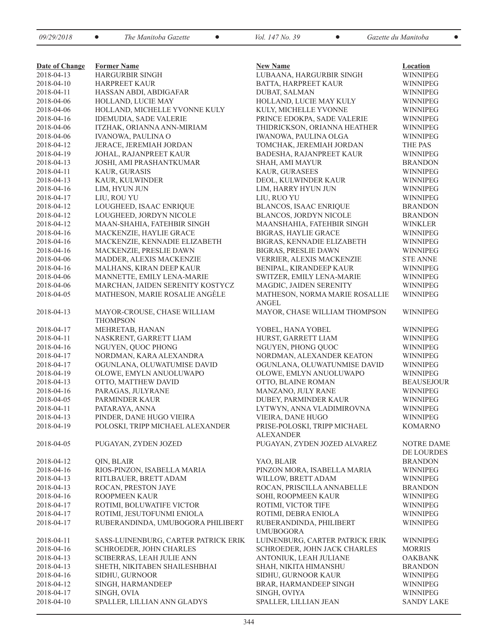| 09/29/2018 |  | The Manitoba Gazette |  | <i>Vol.</i> 147 No. 39 |  | Gazette du Manitoba |  |
|------------|--|----------------------|--|------------------------|--|---------------------|--|
|------------|--|----------------------|--|------------------------|--|---------------------|--|

| <b>Date of Change</b> | <b>Former Name</b>                   | <b>New Name</b>                                       | Location          |
|-----------------------|--------------------------------------|-------------------------------------------------------|-------------------|
|                       |                                      |                                                       |                   |
| 2018-04-13            | <b>HARGURBIR SINGH</b>               | LUBAANA, HARGURBIR SINGH                              | WINNIPEG          |
| 2018-04-10            | <b>HARPREET KAUR</b>                 | BATTA, HARPREET KAUR                                  | <b>WINNIPEG</b>   |
| 2018-04-11            | HASSAN ABDI, ABDIGAFAR               | DUBAT, SALMAN                                         | <b>WINNIPEG</b>   |
| 2018-04-06            | HOLLAND, LUCIE MAY                   | HOLLAND, LUCIE MAY KULY                               | <b>WINNIPEG</b>   |
| 2018-04-06            | HOLLAND, MICHELLE YVONNE KULY        | KULY, MICHELLE YVONNE                                 | <b>WINNIPEG</b>   |
| 2018-04-16            | <b>IDEMUDIA, SADE VALERIE</b>        | PRINCE EDOKPA, SADE VALERIE                           | WINNIPEG          |
| 2018-04-06            | ITZHAK, ORIANNA ANN-MIRIAM           | THIDRICKSON, ORIANNA HEATHER                          | WINNIPEG          |
| 2018-04-06            | IVANOWA, PAULINA O                   | IWANOWA, PAULINA OLGA                                 | WINNIPEG          |
|                       |                                      |                                                       |                   |
| 2018-04-12            | JERACE, JEREMIAH JORDAN              | TOMCHAK, JEREMIAH JORDAN                              | THE PAS           |
| 2018-04-19            | JOHAL, RAJANPREET KAUR               | BADESHA, RAJANPREET KAUR                              | <b>WINNIPEG</b>   |
| 2018-04-13            | <b>JOSHI, AMI PRASHANTKUMAR</b>      | SHAH, AMI MAYUR                                       | <b>BRANDON</b>    |
| 2018-04-11            | <b>KAUR, GURASIS</b>                 | KAUR, GURASEES                                        | <b>WINNIPEG</b>   |
| 2018-04-13            | KAUR, KULWINDER                      | DEOL, KULWINDER KAUR                                  | <b>WINNIPEG</b>   |
| 2018-04-16            | LIM, HYUN JUN                        | LIM, HARRY HYUN JUN                                   | <b>WINNIPEG</b>   |
| 2018-04-17            | LIU, ROU YU                          | LIU, RUO YU                                           | <b>WINNIPEG</b>   |
| 2018-04-12            | LOUGHEED, ISAAC ENRIQUE              | BLANCOS, ISAAC ENRIQUE                                | <b>BRANDON</b>    |
| 2018-04-12            | LOUGHEED, JORDYN NICOLE              | BLANCOS, JORDYN NICOLE                                | <b>BRANDON</b>    |
| 2018-04-12            | MAAN-SHAHIA, FATEHBIR SINGH          | MAANSHAHIA, FATEHBIR SINGH                            | WINKLER           |
| 2018-04-16            | MACKENZIE, HAYLIE GRACE              | <b>BIGRAS, HAYLIE GRACE</b>                           | WINNIPEG          |
|                       |                                      |                                                       |                   |
| 2018-04-16            | MACKENZIE, KENNADIE ELIZABETH        | BIGRAS, KENNADIE ELIZABETH                            | <b>WINNIPEG</b>   |
| 2018-04-16            | MACKENZIE, PRESLIE DAWN              | <b>BIGRAS, PRESLIE DAWN</b>                           | WINNIPEG          |
| 2018-04-06            | MADDER, ALEXIS MACKENZIE             | VERRIER, ALEXIS MACKENZIE                             | <b>STE ANNE</b>   |
| 2018-04-16            | MALHANS, KIRAN DEEP KAUR             | BENIPAL, KIRANDEEP KAUR                               | WINNIPEG          |
| 2018-04-06            | MANNETTE, EMILY LENA-MARIE           | <b>SWITZER, EMILY LENA-MARIE</b>                      | <b>WINNIPEG</b>   |
| 2018-04-06            | MARCHAN, JAIDEN SERENITY KOSTYCZ     | MAGDIC, JAIDEN SERENITY                               | <b>WINNIPEG</b>   |
| 2018-04-05            | MATHESON, MARIE ROSALIE ANGELE       | <b>MATHESON, NORMA MARIE ROSALLIE</b><br><b>ANGEL</b> | <b>WINNIPEG</b>   |
| 2018-04-13            | MAYOR-CROUSE, CHASE WILLIAM          | MAYOR, CHASE WILLIAM THOMPSON                         | <b>WINNIPEG</b>   |
|                       | <b>THOMPSON</b>                      |                                                       |                   |
|                       |                                      |                                                       |                   |
| 2018-04-17            | MEHRETAB, HANAN                      | YOBEL, HANA YOBEL                                     | WINNIPEG          |
| 2018-04-11            | NASKRENT, GARRETT LIAM               | HURST, GARRETT LIAM                                   | WINNIPEG          |
| 2018-04-16            | NGUYEN, QUOC PHONG                   | NGUYEN, PHONG QUOC                                    | <b>WINNIPEG</b>   |
| 2018-04-17            | NORDMAN, KARA ALEXANDRA              | NORDMAN, ALEXANDER KEATON                             | <b>WINNIPEG</b>   |
| 2018-04-17            | OGUNLANA, OLUWATUMISE DAVID          | OGUNLANA, OLUWATUNMISE DAVID                          | <b>WINNIPEG</b>   |
| 2018-04-19            | OLOWE, EMYLN ANUOLUWAPO              | OLOWE, EMLYN ANUOLUWAPO                               | <b>WINNIPEG</b>   |
| 2018-04-13            | OTTO, MATTHEW DAVID                  | OTTO, BLAINE ROMAN                                    | <b>BEAUSEJOUR</b> |
| 2018-04-16            | PARAGAS, JULYRANE                    | MANZANO, JULY RANE                                    | WINNIPEG          |
| 2018-04-05            | PARMINDER KAUR                       | DUBEY, PARMINDER KAUR                                 | <b>WINNIPEG</b>   |
| 2018-04-11            | PATARAYA, ANNA                       | LYTWYN, ANNA VLADIMIROVNA                             | <b>WINNIPEG</b>   |
| 2018-04-13            | PINDER, DANE HUGO VIEIRA             | VIEIRA, DANE HUGO                                     | <b>WINNIPEG</b>   |
|                       |                                      | PRISE-POLOSKI, TRIPP MICHAEL                          | KOMARNO           |
| 2018-04-19            | POLOSKI, TRIPP MICHAEL ALEXANDER     | <b>ALEXANDER</b>                                      |                   |
| 2018-04-05            | PUGAYAN, ZYDEN JOZED                 | PUGAYAN, ZYDEN JOZED ALVAREZ                          | NOTRE DAME        |
|                       |                                      |                                                       | <b>DE LOURDES</b> |
| 2018-04-12            | QIN, BLAIR                           | YAO, BLAIR                                            | <b>BRANDON</b>    |
| 2018-04-16            | RIOS-PINZON, ISABELLA MARIA          | PINZON MORA, ISABELLA MARIA                           | <b>WINNIPEG</b>   |
| 2018-04-13            | RITLBAUER, BRETT ADAM                | WILLOW, BRETT ADAM                                    | <b>WINNIPEG</b>   |
| 2018-04-13            | ROCAN, PRESTON JAYE                  | ROCAN, PRISCILLA ANNABELLE                            | <b>BRANDON</b>    |
| 2018-04-16            | <b>ROOPMEEN KAUR</b>                 | SOHI, ROOPMEEN KAUR                                   | <b>WINNIPEG</b>   |
| 2018-04-17            | ROTIMI, BOLUWATIFE VICTOR            | ROTIMI, VICTOR TIFE                                   | <b>WINNIPEG</b>   |
| 2018-04-17            | ROTIMI, JESUTOFUNMI ENIOLA           | ROTIMI, DEBRA ENIOLA                                  | <b>WINNIPEG</b>   |
| 2018-04-17            | RUBERANDINDA, UMUBOGORA PHILIBERT    | RUBERANDINDA, PHILIBERT                               | <b>WINNIPEG</b>   |
|                       |                                      | <b>UMUBOGORA</b>                                      |                   |
| 2018-04-11            | SASS-LUINENBURG, CARTER PATRICK ERIK | LUINENBURG, CARTER PATRICK ERIK                       | <b>WINNIPEG</b>   |
| 2018-04-16            | SCHROEDER, JOHN CHARLES              | SCHROEDER, JOHN JACK CHARLES                          | <b>MORRIS</b>     |
| 2018-04-13            | SCIBERRAS, LEAH JULIE ANN            | ANTONIUK, LEAH JULIANE                                | <b>OAKBANK</b>    |
| 2018-04-13            | SHETH, NIKITABEN SHAILESHBHAI        | SHAH, NIKITA HIMANSHU                                 | <b>BRANDON</b>    |
| 2018-04-16            | SIDHU, GURNOOR                       | SIDHU, GURNOOR KAUR                                   | <b>WINNIPEG</b>   |
| 2018-04-12            | SINGH, HARMANDEEP                    | BRAR, HARMANDEEP SINGH                                | <b>WINNIPEG</b>   |
| 2018-04-17            | SINGH, OVIA                          | SINGH, OVIYA                                          | <b>WINNIPEG</b>   |
| 2018-04-10            | SPALLER, LILLIAN ANN GLADYS          | SPALLER, LILLIAN JEAN                                 | <b>SANDY LAKE</b> |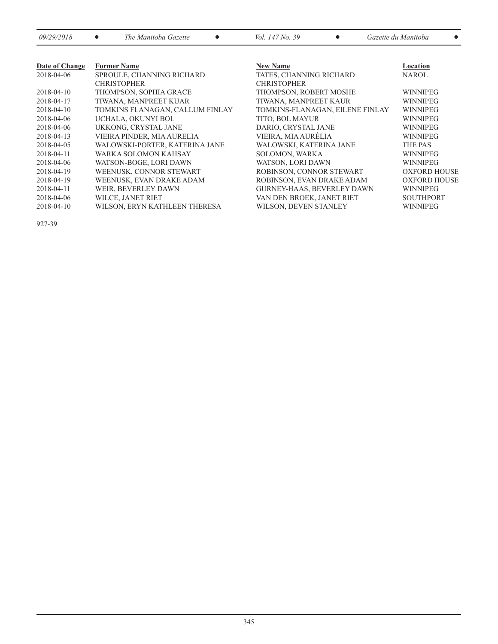| 09/29/2018 | T<br>Gazette<br>The Manitoba C | зG<br>VOI.<br>NO. | Gazette du Manitoba |  |
|------------|--------------------------------|-------------------|---------------------|--|
|            |                                |                   |                     |  |

| Date of Change | <b>Former Name</b>              | <b>New Name</b>                   | <b>Location</b>     |
|----------------|---------------------------------|-----------------------------------|---------------------|
| 2018-04-06     | SPROULE, CHANNING RICHARD       | TATES, CHANNING RICHARD           | <b>NAROL</b>        |
|                | <b>CHRISTOPHER</b>              | <b>CHRISTOPHER</b>                |                     |
| 2018-04-10     | THOMPSON, SOPHIA GRACE          | THOMPSON, ROBERT MOSHE            | <b>WINNIPEG</b>     |
| 2018-04-17     | TIWANA, MANPREET KUAR           | TIWANA, MANPREET KAUR             | <b>WINNIPEG</b>     |
| 2018-04-10     | TOMKINS FLANAGAN, CALLUM FINLAY | TOMKINS-FLANAGAN, EILENE FINLAY   | <b>WINNIPEG</b>     |
| 2018-04-06     | UCHALA, OKUNYI BOL              | TITO, BOL MAYUR                   | <b>WINNIPEG</b>     |
| 2018-04-06     | UKKONG, CRYSTAL JANE            | DARIO, CRYSTAL JANE               | <b>WINNIPEG</b>     |
| 2018-04-13     | VIEIRA PINDER, MIA AURELIA      | VIEIRA, MIA AURÉLIA               | <b>WINNIPEG</b>     |
| 2018-04-05     | WALOWSKI-PORTER, KATERINA JANE  | WALOWSKI, KATERINA JANE           | THE PAS             |
| 2018-04-11     | WARKA SOLOMON KAHSAY            | <b>SOLOMON, WARKA</b>             | <b>WINNIPEG</b>     |
| 2018-04-06     | WATSON-BOGE, LORI DAWN          | WATSON, LORI DAWN                 | <b>WINNIPEG</b>     |
| 2018-04-19     | WEENUSK, CONNOR STEWART         | ROBINSON, CONNOR STEWART          | <b>OXFORD HOUSE</b> |
| 2018-04-19     | WEENUSK, EVAN DRAKE ADAM        | ROBINSON, EVAN DRAKE ADAM         | <b>OXFORD HOUSE</b> |
| 2018-04-11     | WEIR, BEVERLEY DAWN             | <b>GURNEY-HAAS, BEVERLEY DAWN</b> | <b>WINNIPEG</b>     |
| 2018-04-06     | WILCE, JANET RIET               | VAN DEN BROEK, JANET RIET         | <b>SOUTHPORT</b>    |
| 2018-04-10     | WILSON, ERYN KATHLEEN THERESA   | WILSON, DEVEN STANLEY             | <b>WINNIPEG</b>     |

927-39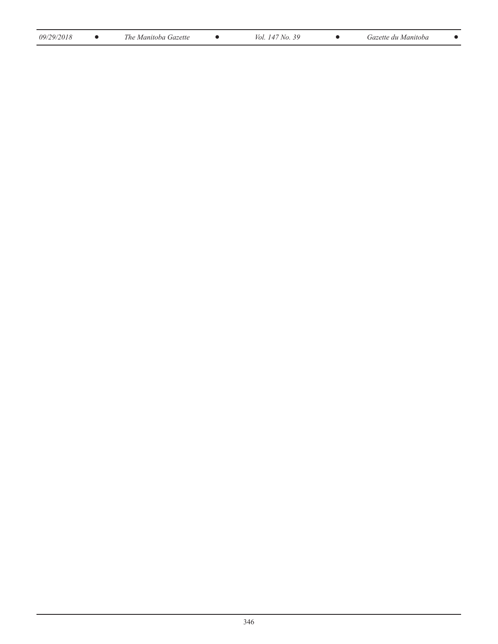| 09/29/2018 | The Manitoba Gazette | <i>Vol.</i> 147 No. 39 | Gazette du Manitoba |  |
|------------|----------------------|------------------------|---------------------|--|
|            |                      |                        |                     |  |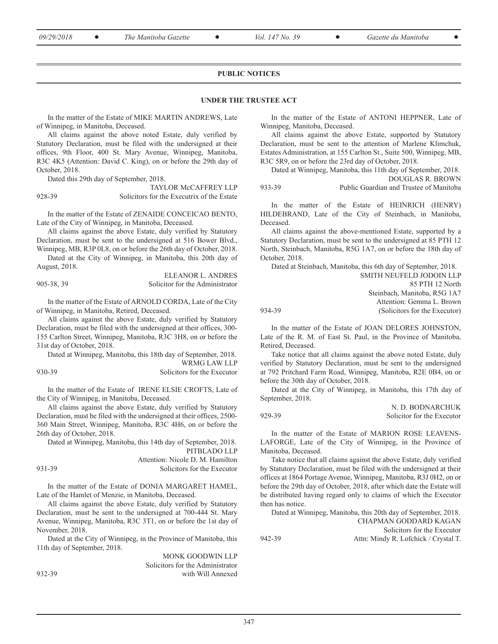#### **PUBLIC NOTICES**

#### **UNDER THE TRUSTEE ACT**

In the matter of the Estate of MIKE MARTIN ANDREWS, Late of Winnipeg, in Manitoba, Deceased.

All claims against the above noted Estate, duly verified by Statutory Declaration, must be filed with the undersigned at their offices, 9th Floor, 400 St. Mary Avenue, Winnipeg, Manitoba, R3C 4K5 (Attention: David C. King), on or before the 29th day of October, 2018.

Dated this 29th day of September, 2018.

928-39 Solicitors for the Executrix of the Estate

In the matter of the Estate of ZENAIDE CONCEICAO BENTO, Late of the City of Winnipeg, in Manitoba, Deceased.

TAYLOR McCAFFREY LLP

WDM $\alpha$  Law LLP

All claims against the above Estate, duly verified by Statutory Declaration, must be sent to the undersigned at 516 Bower Blvd., Winnipeg, MB, R3P 0L8, on or before the 26th day of October, 2018.

Dated at the City of Winnipeg, in Manitoba, this 20th day of August, 2018.

|            | ELEANOR L. ANDRES               |
|------------|---------------------------------|
| 905-38, 39 | Solicitor for the Administrator |

In the matter of the Estate of ARNOLD CORDA, Late of the City of Winnipeg, in Manitoba, Retired, Deceased.

All claims against the above Estate, duly verified by Statutory Declaration, must be filed with the undersigned at their offices, 300- 155 Carlton Street, Winnipeg, Manitoba, R3C 3H8, on or before the 31st day of October, 2018.

Dated at Winnipeg, Manitoba, this 18th day of September, 2018.

|        | WKIVIU LAW LLP              |
|--------|-----------------------------|
| 930-39 | Solicitors for the Executor |

In the matter of the Estate of IRENE ELSIE CROFTS, Late of the City of Winnipeg, in Manitoba, Deceased.

All claims against the above Estate, duly verified by Statutory Declaration, must be filed with the undersigned at their offices, 2500- 360 Main Street, Winnipeg, Manitoba, R3C 4H6, on or before the 26th day of October, 2018.

Dated at Winnipeg, Manitoba, this 14th day of September, 2018. PITBLADO LLP

|        | Attention: Nicole D. M. Hamilton |
|--------|----------------------------------|
| 931-39 | Solicitors for the Executor      |

In the matter of the Estate of DONIA MARGARET HAMEL, Late of the Hamlet of Menzie, in Manitoba, Deceased.

All claims against the above Estate, duly verified by Statutory Declaration, must be sent to the undersigned at 700-444 St. Mary Avenue, Winnipeg, Manitoba, R3C 3T1, on or before the 1st day of November, 2018.

Dated at the City of Winnipeg, in the Province of Manitoba, this 11th day of September, 2018.

MONK GOODWIN LLP Solicitors for the Administrator 932-39 with Will Annexed

In the matter of the Estate of ANTONI HEPPNER, Late of Winnipeg, Manitoba, Deceased.

All claims against the above Estate, supported by Statutory Declaration, must be sent to the attention of Marlene Klimchuk, Estates Administration, at 155 Carlton St., Suite 500, Winnipeg, MB, R3C 5R9, on or before the 23rd day of October, 2018.

Dated at Winnipeg, Manitoba, this 11th day of September, 2018. DOUGLAS R. BROWN

933-39 Public Guardian and Trustee of Manitoba

In the matter of the Estate of HEINRICH (HENRY) HILDEBRAND, Late of the City of Steinbach, in Manitoba, Deceased.

All claims against the above-mentioned Estate, supported by a Statutory Declaration, must be sent to the undersigned at 85 PTH 12 North, Steinbach, Manitoba, R5G 1A7, on or before the 18th day of October, 2018.

Dated at Steinbach, Manitoba, this 6th day of September, 2018. SMITH NEUFELD JODOIN LLP

85 PTH 12 North Steinbach, Manitoba, R5G 1A7 Attention: Gemma L. Brown 934-39 (Solicitors for the Executor)

In the matter of the Estate of JOAN DELORES JOHNSTON,

Late of the R. M. of East St. Paul, in the Province of Manitoba, Retired, Deceased.

Take notice that all claims against the above noted Estate, duly verified by Statutory Declaration, must be sent to the undersigned at 792 Pritchard Farm Road, Winnipeg, Manitoba, R2E 0B4, on or before the 30th day of October, 2018.

Dated at the City of Winnipeg, in Manitoba, this 17th day of September, 2018.

N. D. BODNARCHUK 929-39 Solicitor for the Executor

In the matter of the Estate of MARION ROSE LEAVENS-LAFORGE, Late of the City of Winnipeg, in the Province of Manitoba, Deceased.

Take notice that all claims against the above Estate, duly verified by Statutory Declaration, must be filed with the undersigned at their offices at 1864 Portage Avenue, Winnipeg, Manitoba, R3J 0H2, on or before the 29th day of October, 2018, after which date the Estate will be distributed having regard only to claims of which the Executor then has notice.

Dated at Winnipeg, Manitoba, this 20th day of September, 2018. CHAPMAN GODDARD KAGAN Solicitors for the Executor 942-39 Attn: Mindy R. Lofchick / Crystal T.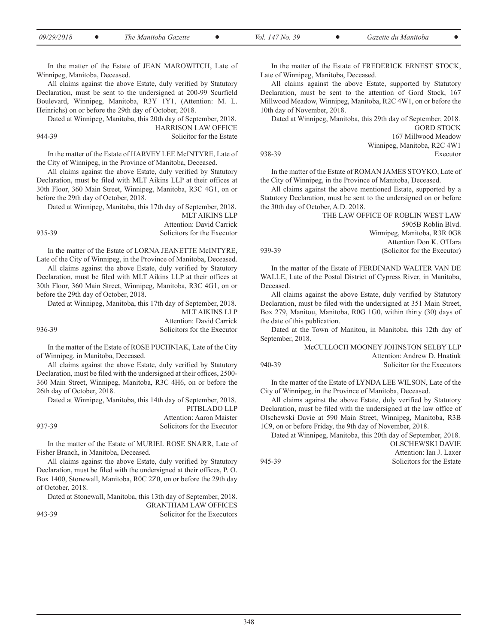| 09/29/2018 | The Manitoba Gazette | $147 NQ_{\odot}$<br>Vol.<br>$\frac{14}{2}$ | Gazette du Manitoba |  |
|------------|----------------------|--------------------------------------------|---------------------|--|
|            |                      |                                            |                     |  |

In the matter of the Estate of JEAN MAROWITCH, Late of Winnipeg, Manitoba, Deceased.

All claims against the above Estate, duly verified by Statutory Declaration, must be sent to the undersigned at 200-99 Scurfield Boulevard, Winnipeg, Manitoba, R3Y 1Y1, (Attention: M. L. Heinrichs) on or before the 29th day of October, 2018.

Dated at Winnipeg, Manitoba, this 20th day of September, 2018. HARRISON LAW OFFICE 944-39 Solicitor for the Estate

In the matter of the Estate of HARVEY LEE McINTYRE, Late of the City of Winnipeg, in the Province of Manitoba, Deceased.

All claims against the above Estate, duly verified by Statutory Declaration, must be filed with MLT Aikins LLP at their offices at 30th Floor, 360 Main Street, Winnipeg, Manitoba, R3C 4G1, on or before the 29th day of October, 2018.

Dated at Winnipeg, Manitoba, this 17th day of September, 2018. MLT AIKINS LLP Attention: David Carrick 935-39 Solicitors for the Executor

In the matter of the Estate of LORNA JEANETTE McINTYRE, Late of the City of Winnipeg, in the Province of Manitoba, Deceased.

All claims against the above Estate, duly verified by Statutory Declaration, must be filed with MLT Aikins LLP at their offices at 30th Floor, 360 Main Street, Winnipeg, Manitoba, R3C 4G1, on or before the 29th day of October, 2018.

| Dated at Winnipeg, Manitoba, this 17th day of September, 2018. |  |
|----------------------------------------------------------------|--|
| MLT AIKINS LLP                                                 |  |
| <b>Attention: David Carrick</b>                                |  |
| 936-39<br>Solicitors for the Executor                          |  |

In the matter of the Estate of ROSE PUCHNIAK, Late of the City of Winnipeg, in Manitoba, Deceased.

All claims against the above Estate, duly verified by Statutory Declaration, must be filed with the undersigned at their offices, 2500- 360 Main Street, Winnipeg, Manitoba, R3C 4H6, on or before the 26th day of October, 2018.

Dated at Winnipeg, Manitoba, this 14th day of September, 2018. PITBLADO LLP Attention: Aaron Maister

937-39 Solicitors for the Executor

In the matter of the Estate of MURIEL ROSE SNARR, Late of Fisher Branch, in Manitoba, Deceased.

All claims against the above Estate, duly verified by Statutory Declaration, must be filed with the undersigned at their offices, P. O. Box 1400, Stonewall, Manitoba, R0C 2Z0, on or before the 29th day of October, 2018.

Dated at Stonewall, Manitoba, this 13th day of September, 2018. GRANTHAM LAW OFFICES 943-39 Solicitor for the Executors

In the matter of the Estate of FREDERICK ERNEST STOCK, Late of Winnipeg, Manitoba, Deceased.

All claims against the above Estate, supported by Statutory Declaration, must be sent to the attention of Gord Stock, 167 Millwood Meadow, Winnipeg, Manitoba, R2C 4W1, on or before the 10th day of November, 2018.

Dated at Winnipeg, Manitoba, this 29th day of September, 2018. GORD STOCK 167 Millwood Meadow

|        | 10/MIIIwood Meadow          |
|--------|-----------------------------|
|        | Winnipeg, Manitoba, R2C 4W1 |
| 938-39 | Executor                    |
|        |                             |

In the matter of the Estate of ROMAN JAMES STOYKO, Late of the City of Winnipeg, in the Province of Manitoba, Deceased.

All claims against the above mentioned Estate, supported by a Statutory Declaration, must be sent to the undersigned on or before the 30th day of October, A.D. 2018.

|        | THE LAW OFFICE OF ROBLIN WEST LAW |
|--------|-----------------------------------|
|        | 5905B Roblin Blyd.                |
|        | Winnipeg, Manitoba, R3R 0G8       |
|        | Attention Don K. O'Hara           |
| 939-39 | (Solicitor for the Executor)      |
|        |                                   |

In the matter of the Estate of FERDINAND WALTER VAN DE WALLE, Late of the Postal District of Cypress River, in Manitoba, Deceased.

All claims against the above Estate, duly verified by Statutory Declaration, must be filed with the undersigned at 351 Main Street, Box 279, Manitou, Manitoba, R0G 1G0, within thirty (30) days of the date of this publication.

Dated at the Town of Manitou, in Manitoba, this 12th day of September, 2018.

McCULLOCH MOONEY JOHNSTON SELBY LLP

|        | Attention: Andrew D. Hnatiuk |
|--------|------------------------------|
| 940-39 | Solicitor for the Executors  |

In the matter of the Estate of LYNDA LEE WILSON, Late of the City of Winnipeg, in the Province of Manitoba, Deceased.

All claims against the above Estate, duly verified by Statutory Declaration, must be filed with the undersigned at the law office of Olschewski Davie at 590 Main Street, Winnipeg, Manitoba, R3B 1C9, on or before Friday, the 9th day of November, 2018.

Dated at Winnipeg, Manitoba, this 20th day of September, 2018.

OLSCHEWSKI DAVIE Attention: Ian J. Laxer 945-39 Solicitors for the Estate